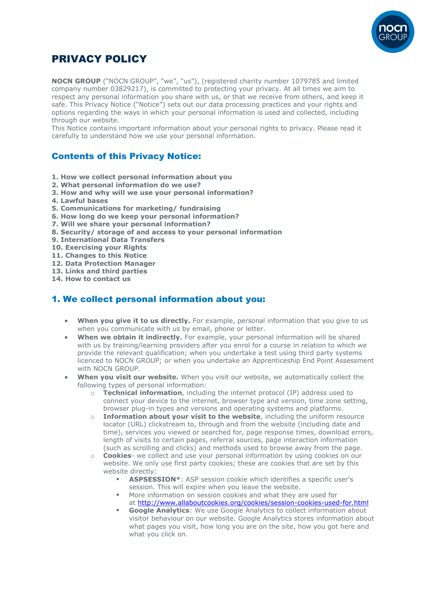

# PRIVACY POLICY

**NOCN GROUP** ("NOCN GROUP", "we", "us"), (registered charity number 1079785 and limited company number 03829217), is committed to protecting your privacy. At all times we aim to respect any personal information you share with us, or that we receive from others, and keep it safe. This Privacy Notice ("Notice") sets out our data processing practices and your rights and options regarding the ways in which your personal information is used and collected, including through our website.

This Notice contains important information about your personal rights to privacy. Please read it carefully to understand how we use your personal information.

# Contents of this Privacy Notice:

- **1. How we collect personal information about you**
- **2. What personal information do we use?**
- **3. How and why will we use your personal information?**
- **4. Lawful bases**
- **5. Communications for marketing/ fundraising**
- **6. How long do we keep your personal information?**
- **7. Will we share your personal information?**
- **8. Security/ storage of and access to your personal information**
- **9. International Data Transfers**
- **10. Exercising your Rights**
- **11. Changes to this Notice**
- **12. Data Protection Manager**
- **13. Links and third parties**
- **14. How to contact us**

### 1. We collect personal information about you:

- When you give it to us directly. For example, personal information that you give to us when you communicate with us by email, phone or letter.
- **When we obtain it indirectly.** For example, your personal information will be shared with us by training/learning providers after you enrol for a course in relation to which we provide the relevant qualification; when you undertake a test using third party systems licenced to NOCN GROUP; or when you undertake an Apprenticeship End Point Assessment with NOCN GROUP.
- **When you visit our website.** When you visit our website, we automatically collect the following types of personal information:
	- o **Technical information**, including the internet protocol (IP) address used to connect your device to the internet, browser type and version, time zone setting, browser plug-in types and versions and operating systems and platforms.
	- **Information about your visit to the website**, including the uniform resource locator (URL) clickstream to, through and from the website (including date and time), services you viewed or searched for, page response times, download errors, length of visits to certain pages, referral sources, page interaction information (such as scrolling and clicks) and methods used to browse away from the page.
	- o **Cookies** we collect and use your personal information by using cookies on our website. We only use first party cookies; these are cookies that are set by this website directly:
		- **ASPSESSION\*:** ASP session cookie which identifies a specific user's session. This will expire when you leave the website.
		- More information on session cookies and what they are used for at <http://www.allaboutcookies.org/cookies/session-cookies-used-for.html>
		- **Google Analytics:** We use Google Analytics to collect information about visitor behaviour on our website. Google Analytics stores information about what pages you visit, how long you are on the site, how you got here and what you click on.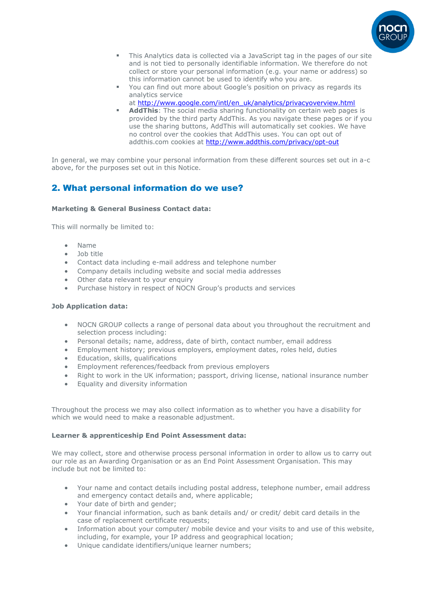

- **This Analytics data is collected via a JavaScript tag in the pages of our site** and is not tied to personally identifiable information. We therefore do not collect or store your personal information (e.g. your name or address) so this information cannot be used to identify who you are.
- You can find out more about Google's position on privacy as regards its analytics service
- at [http://www.google.com/intl/en\\_uk/analytics/privacyoverview.html](http://www.google.com/intl/en_uk/analytics/privacyoverview.html)
- **AddThis:** The social media sharing functionality on certain web pages is provided by the third party AddThis. As you navigate these pages or if you use the sharing buttons, AddThis will automatically set cookies. We have no control over the cookies that AddThis uses. You can opt out of addthis.com cookies at <http://www.addthis.com/privacy/opt-out>

In general, we may combine your personal information from these different sources set out in a-c above, for the purposes set out in this Notice.

# 2. What personal information do we use?

#### **Marketing & General Business Contact data:**

This will normally be limited to:

- Name
- Job title
- Contact data including e-mail address and telephone number
- Company details including website and social media addresses
- Other data relevant to your enquiry
- Purchase history in respect of NOCN Group's products and services

#### **Job Application data:**

- NOCN GROUP collects a range of personal data about you throughout the recruitment and selection process including:
- Personal details; name, address, date of birth, contact number, email address
- Employment history; previous employers, employment dates, roles held, duties
- Education, skills, qualifications
- Employment references/feedback from previous employers
- Right to work in the UK information; passport, driving license, national insurance number
- Equality and diversity information

Throughout the process we may also collect information as to whether you have a disability for which we would need to make a reasonable adjustment.

#### **Learner & apprenticeship End Point Assessment data:**

We may collect, store and otherwise process personal information in order to allow us to carry out our role as an Awarding Organisation or as an End Point Assessment Organisation. This may include but not be limited to:

- Your name and contact details including postal address, telephone number, email address and emergency contact details and, where applicable;
- Your date of birth and gender;
- Your financial information, such as bank details and/ or credit/ debit card details in the case of replacement certificate requests;
- Information about your computer/ mobile device and your visits to and use of this website, including, for example, your IP address and geographical location;
- Unique candidate identifiers/unique learner numbers;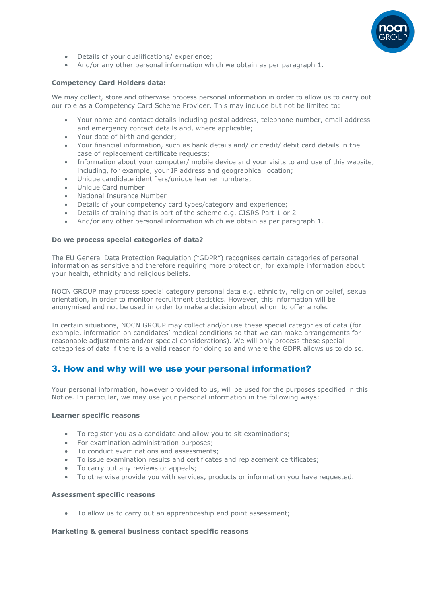

- Details of your qualifications/ experience;
- And/or any other personal information which we obtain as per paragraph 1.

#### **Competency Card Holders data:**

We may collect, store and otherwise process personal information in order to allow us to carry out our role as a Competency Card Scheme Provider. This may include but not be limited to:

- Your name and contact details including postal address, telephone number, email address and emergency contact details and, where applicable;
- Your date of birth and gender;
- Your financial information, such as bank details and/ or credit/ debit card details in the case of replacement certificate requests;
- Information about your computer/ mobile device and your visits to and use of this website, including, for example, your IP address and geographical location;
- Unique candidate identifiers/unique learner numbers;
- Unique Card number
- National Insurance Number
- Details of your competency card types/category and experience;
- Details of training that is part of the scheme e.g. CISRS Part 1 or 2
- And/or any other personal information which we obtain as per paragraph 1.

#### **Do we process special categories of data?**

The EU General Data Protection Regulation ("GDPR") recognises certain categories of personal information as sensitive and therefore requiring more protection, for example information about your health, ethnicity and religious beliefs.

NOCN GROUP may process special category personal data e.g. ethnicity, religion or belief, sexual orientation, in order to monitor recruitment statistics. However, this information will be anonymised and not be used in order to make a decision about whom to offer a role.

In certain situations, NOCN GROUP may collect and/or use these special categories of data (for example, information on candidates' medical conditions so that we can make arrangements for reasonable adjustments and/or special considerations). We will only process these special categories of data if there is a valid reason for doing so and where the GDPR allows us to do so.

### 3. How and why will we use your personal information?

Your personal information, however provided to us, will be used for the purposes specified in this Notice. In particular, we may use your personal information in the following ways:

#### **Learner specific reasons**

- To register you as a candidate and allow you to sit examinations;
- For examination administration purposes;
- To conduct examinations and assessments;
- To issue examination results and certificates and replacement certificates;
- To carry out any reviews or appeals;
- To otherwise provide you with services, products or information you have requested.

#### **Assessment specific reasons**

• To allow us to carry out an apprenticeship end point assessment;

#### **Marketing & general business contact specific reasons**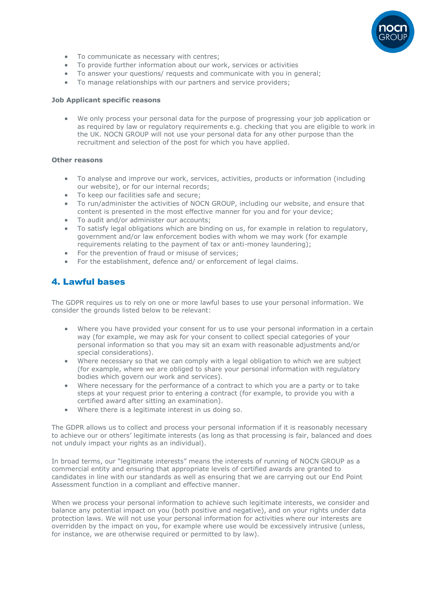

- To communicate as necessary with centres;
- To provide further information about our work, services or activities
- To answer your questions/ requests and communicate with you in general;
- To manage relationships with our partners and service providers;

#### **Job Applicant specific reasons**

• We only process your personal data for the purpose of progressing your job application or as required by law or regulatory requirements e.g. checking that you are eligible to work in the UK. NOCN GROUP will not use your personal data for any other purpose than the recruitment and selection of the post for which you have applied.

#### **Other reasons**

- To analyse and improve our work, services, activities, products or information (including our website), or for our internal records;
- To keep our facilities safe and secure;
- To run/administer the activities of NOCN GROUP, including our website, and ensure that content is presented in the most effective manner for you and for your device;
- To audit and/or administer our accounts;
- To satisfy legal obligations which are binding on us, for example in relation to regulatory, government and/or law enforcement bodies with whom we may work (for example requirements relating to the payment of tax or anti-money laundering);
- For the prevention of fraud or misuse of services;
- For the establishment, defence and/ or enforcement of legal claims.

### 4. Lawful bases

The GDPR requires us to rely on one or more lawful bases to use your personal information. We consider the grounds listed below to be relevant:

- Where you have provided your consent for us to use your personal information in a certain way (for example, we may ask for your consent to collect special categories of your personal information so that you may sit an exam with reasonable adjustments and/or special considerations).
- Where necessary so that we can comply with a legal obligation to which we are subject (for example, where we are obliged to share your personal information with regulatory bodies which govern our work and services).
- Where necessary for the performance of a contract to which you are a party or to take steps at your request prior to entering a contract (for example, to provide you with a certified award after sitting an examination).
- Where there is a legitimate interest in us doing so.

The GDPR allows us to collect and process your personal information if it is reasonably necessary to achieve our or others' legitimate interests (as long as that processing is fair, balanced and does not unduly impact your rights as an individual).

In broad terms, our "legitimate interests" means the interests of running of NOCN GROUP as a commercial entity and ensuring that appropriate levels of certified awards are granted to candidates in line with our standards as well as ensuring that we are carrying out our End Point Assessment function in a compliant and effective manner.

When we process your personal information to achieve such legitimate interests, we consider and balance any potential impact on you (both positive and negative), and on your rights under data protection laws. We will not use your personal information for activities where our interests are overridden by the impact on you, for example where use would be excessively intrusive (unless, for instance, we are otherwise required or permitted to by law).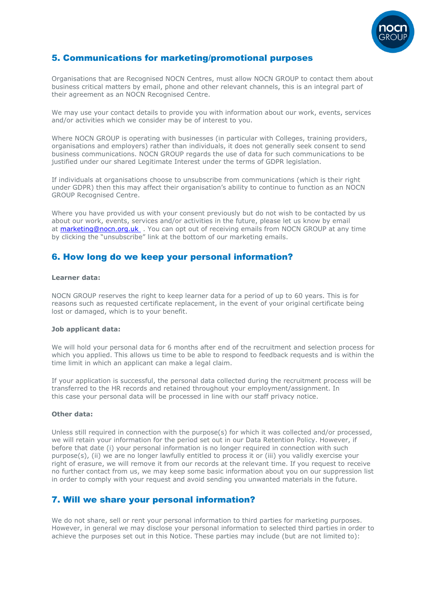

### 5. Communications for marketing/promotional purposes

Organisations that are Recognised NOCN Centres, must allow NOCN GROUP to contact them about business critical matters by email, phone and other relevant channels, this is an integral part of their agreement as an NOCN Recognised Centre.

We may use your contact details to provide you with information about our work, events, services and/or activities which we consider may be of interest to you.

Where NOCN GROUP is operating with businesses (in particular with Colleges, training providers, organisations and employers) rather than individuals, it does not generally seek consent to send business communications. NOCN GROUP regards the use of data for such communications to be justified under our shared Legitimate Interest under the terms of GDPR legislation.

If individuals at organisations choose to unsubscribe from communications (which is their right under GDPR) then this may affect their organisation's ability to continue to function as an NOCN GROUP Recognised Centre.

Where you have provided us with your consent previously but do not wish to be contacted by us about our work, events, services and/or activities in the future, please let us know by email at [marketing@nocn.org.uk](mailto:marketing@nocn.org.uk) . You can opt out of receiving emails from NOCN GROUP at any time by clicking the "unsubscribe" link at the bottom of our marketing emails.

### 6. How long do we keep your personal information?

#### **Learner data:**

NOCN GROUP reserves the right to keep learner data for a period of up to 60 years. This is for reasons such as requested certificate replacement, in the event of your original certificate being lost or damaged, which is to your benefit.

#### **Job applicant data:**

We will hold your personal data for 6 months after end of the recruitment and selection process for which you applied. This allows us time to be able to respond to feedback requests and is within the time limit in which an applicant can make a legal claim.

If your application is successful, the personal data collected during the recruitment process will be transferred to the HR records and retained throughout your employment/assignment. In this case your personal data will be processed in line with our staff privacy notice.

#### **Other data:**

Unless still required in connection with the purpose(s) for which it was collected and/or processed, we will retain your information for the period set out in our Data Retention Policy. However, if before that date (i) your personal information is no longer required in connection with such purpose(s), (ii) we are no longer lawfully entitled to process it or (iii) you validly exercise your right of erasure, we will remove it from our records at the relevant time. If you request to receive no further contact from us, we may keep some basic information about you on our suppression list in order to comply with your request and avoid sending you unwanted materials in the future.

### 7. Will we share your personal information?

We do not share, sell or rent your personal information to third parties for marketing purposes. However, in general we may disclose your personal information to selected third parties in order to achieve the purposes set out in this Notice. These parties may include (but are not limited to):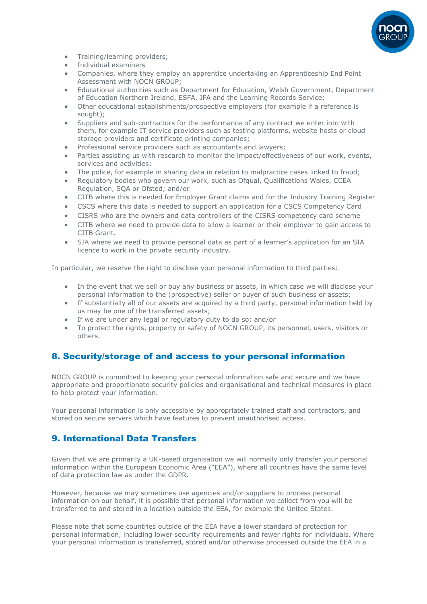

- Training/learning providers;
- Individual examiners
- Companies, where they employ an apprentice undertaking an Apprenticeship End Point Assessment with NOCN GROUP;
- Educational authorities such as Department for Education, Welsh Government, Department of Education Northern Ireland, ESFA, IFA and the Learning Records Service;
- Other educational establishments/prospective employers (for example if a reference is sought);
- Suppliers and sub-contractors for the performance of any contract we enter into with them, for example IT service providers such as testing platforms, website hosts or cloud storage providers and certificate printing companies;
- Professional service providers such as accountants and lawyers;
- Parties assisting us with research to monitor the impact/effectiveness of our work, events, services and activities;
- The police, for example in sharing data in relation to malpractice cases linked to fraud;
- Regulatory bodies who govern our work, such as Ofqual, Qualifications Wales, CCEA Regulation, SQA or Ofsted; and/or
- CITB where this is needed for Employer Grant claims and for the Industry Training Register
- CSCS where this data is needed to support an application for a CSCS Competency Card
- CISRS who are the owners and data controllers of the CISRS competency card scheme
- CITB where we need to provide data to allow a learner or their employer to gain access to CITB Grant.
- SIA where we need to provide personal data as part of a learner's application for an SIA licence to work in the private security industry.

In particular, we reserve the right to disclose your personal information to third parties:

- In the event that we sell or buy any business or assets, in which case we will disclose your personal information to the (prospective) seller or buyer of such business or assets;
- If substantially all of our assets are acquired by a third party, personal information held by us may be one of the transferred assets;
- If we are under any legal or regulatory duty to do so; and/or
- To protect the rights, property or safety of NOCN GROUP, its personnel, users, visitors or others.

### 8. Security/storage of and access to your personal information

NOCN GROUP is committed to keeping your personal information safe and secure and we have appropriate and proportionate security policies and organisational and technical measures in place to help protect your information.

Your personal information is only accessible by appropriately trained staff and contractors, and stored on secure servers which have features to prevent unauthorised access.

### 9. International Data Transfers

Given that we are primarily a UK-based organisation we will normally only transfer your personal information within the European Economic Area ("EEA"), where all countries have the same level of data protection law as under the GDPR.

However, because we may sometimes use agencies and/or suppliers to process personal information on our behalf, it is possible that personal information we collect from you will be transferred to and stored in a location outside the EEA, for example the United States.

Please note that some countries outside of the EEA have a lower standard of protection for personal information, including lower security requirements and fewer rights for individuals. Where your personal information is transferred, stored and/or otherwise processed outside the EEA in a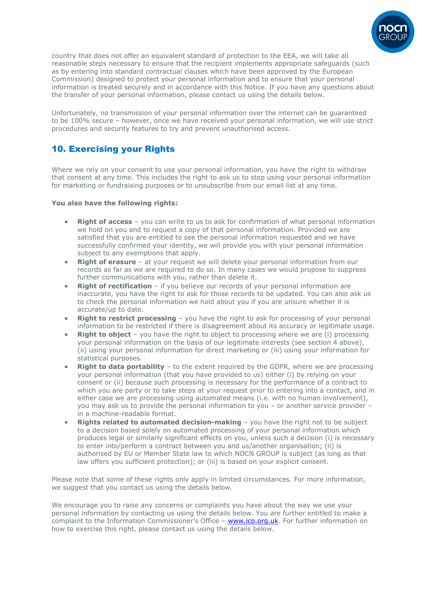

country that does not offer an equivalent standard of protection to the EEA, we will take all reasonable steps necessary to ensure that the recipient implements appropriate safeguards (such as by entering into standard contractual clauses which have been approved by the European Commission) designed to protect your personal information and to ensure that your personal information is treated securely and in accordance with this Notice. If you have any questions about the transfer of your personal information, please contact us using the details below.

Unfortunately, no transmission of your personal information over the internet can be guaranteed to be 100% secure – however, once we have received your personal information, we will use strict procedures and security features to try and prevent unauthorised access.

# 10. Exercising your Rights

Where we rely on your consent to use your personal information, you have the right to withdraw that consent at any time. This includes the right to ask us to stop using your personal information for marketing or fundraising purposes or to unsubscribe from our email list at any time.

#### **You also have the following rights:**

- **Right of access** you can write to us to ask for confirmation of what personal information we hold on you and to request a copy of that personal information. Provided we are satisfied that you are entitled to see the personal information requested and we have successfully confirmed your identity, we will provide you with your personal information subject to any exemptions that apply.
- **Right of erasure** at your request we will delete your personal information from our records as far as we are required to do so. In many cases we would propose to suppress further communications with you, rather than delete it.
- **Right of rectification** if you believe our records of your personal information are inaccurate, you have the right to ask for those records to be updated. You can also ask us to check the personal information we hold about you if you are unsure whether it is accurate/up to date.
- **Right to restrict processing** you have the right to ask for processing of your personal information to be restricted if there is disagreement about its accuracy or legitimate usage.
- **Right to object** you have the right to object to processing where we are (i) processing your personal information on the basis of our legitimate interests (see section 4 above), (ii) using your personal information for direct marketing or (iii) using your information for statistical purposes.
- **Right to data portability** to the extent required by the GDPR, where we are processing your personal information (that you have provided to us) either (i) by relying on your consent or (ii) because such processing is necessary for the performance of a contract to which you are party or to take steps at your request prior to entering into a contact, and in either case we are processing using automated means (i.e. with no human involvement), you may ask us to provide the personal information to you – or another service provider – in a machine-readable format.
- **Rights related to automated decision-making** you have the right not to be subject to a decision based solely on automated processing of your personal information which produces legal or similarly significant effects on you, unless such a decision (i) is necessary to enter into/perform a contract between you and us/another organisation; (ii) is authorised by EU or Member State law to which NOCN GROUP is subject (as long as that law offers you sufficient protection); or (iii) is based on your explicit consent.

Please note that some of these rights only apply in limited circumstances. For more information, we suggest that you contact us using the details below.

We encourage you to raise any concerns or complaints you have about the way we use your personal information by contacting us using the details below. You are further entitled to make a complaint to the Information Commissioner's Office - [www.ico.org.uk.](http://www.ico.org.uk/) For further information on how to exercise this right, please contact us using the details below.